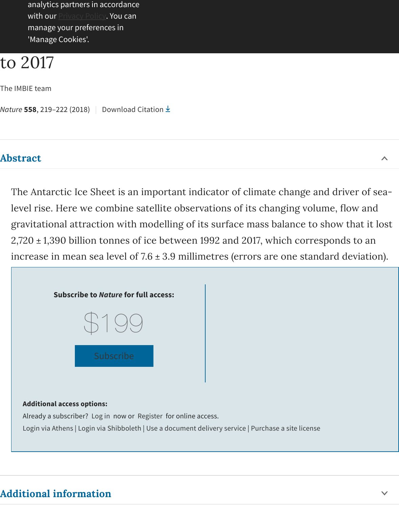```
The IMBIE team
```
*Nature* **558**, 219–222 (2018) | Download Citation

#### **Abstract**

The Antarctic Ice Sheet is an important indicator of climate change and diright level rise. Here we combine satellite observations of its changing volume, gravitational attraction with modelling of its surface mass balance to show  $2,720 \pm 1,390$  billion tonnes of ice between 1992 and 2017, which correspon increase in mean sea level of  $7.6 \pm 3.9$  millimetres (errors are one standard



#### **Additional access options:**

Already a subscriber? Log in now or Register for online access.

Login via Athens [| Login via Shibboleth | Us](https://www.nature.com/nature/subscribe)e a document delivery service | Purchase a site license

# **Addi[tional infor](https://idp-saml-nature-federated-login.live.cf.public.nature.com/saml/login?idp=https%3A%2F%2Fidp.eduserv.org.uk%2Fopenathens&targetUrl=http%3A%2F%2Fwww.nature.com%2Farticles%2Fs41586-018-0179-y)[mation](https://idp.nature.com/login/federated?redirect_uri=http%3A%2F%2Fwww.nature.com%2Farticles%2Fs41586-018-0179-y)**